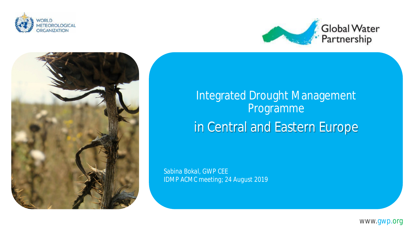





Integrated Drought Management Programme in Central and Eastern Europe

*Sabina Bokal, GWP CEE IDMP ACMC meeting; 24 August 2019*

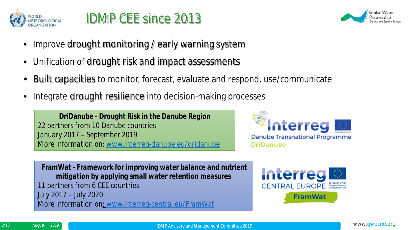

# IDMP CEE since 2013



- Improve drought monitoring / early warning system
- Unification of drought risk and impact assessments
- Built capacities to monitor, forecast, evaluate and respond, use/communicate
- Integrate drought resilience into decision-making processes

**DriDanube** - *Drought Risk in the Danube Region 22 partners from 10 Danube countries January 2017 – September 2019 More information on:* [www.interreg-danube.eu/dridanube](http://www.interreg-danube.eu/dridanube)



**FramWat -** *Framework for improving water balance and nutrient mitigation by applying small water retention measures 11 partners from 6 CEE countries*  July 2017 – July 2020 *More information on*: [www.interreg-central.eu/FramWat](http://www.interreg-central.eu/FramWat)

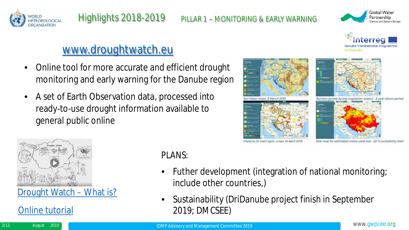



**Danube Transnational Programn** 

DriDanube



- Online tool for more accurate and efficient drought monitoring and early warning for the Danube region
- A set of Earth Observation data, processed into ready-to-use drought information available to general public online





[Drought](https://www.youtube.com/watch?v=85tsBl6-8yM&feature=youtu.be) [Watch](https://www.youtube.com/watch?v=85tsBl6-8yM&feature=youtu.be) [–](https://www.youtube.com/watch?v=85tsBl6-8yM&feature=youtu.be) [What](https://www.youtube.com/watch?v=85tsBl6-8yM&feature=youtu.be) [is?](https://www.youtube.com/watch?v=85tsBl6-8yM&feature=youtu.be)

[Online](https://www.youtube.com/watch?v=2MC5goO17H8&feature=youtu.be) [tutorial](https://www.youtube.com/watch?v=2MC5goO17H8&feature=youtu.be)

#### PLANS:

- Futher development (integration of national monitoring; include other countries,)
- Sustainability (DriDanube project finish in September 2019; DMCSEE)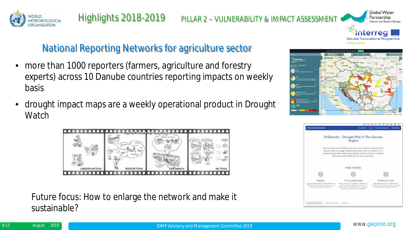



Global Water

# National Reporting Networks for agriculture sector

- more than 1000 reporters (farmers, agriculture and forestry experts) across 10 Danube countries reporting impacts on weekly basis
- drought impact maps are a weekly operational product in Drought **Watch**



Future focus: How to enlarge the network and make it sustainable?



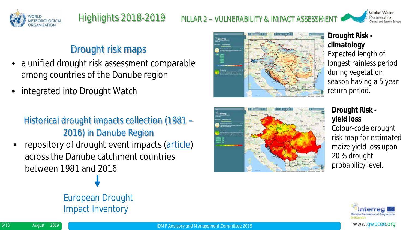



#### Drought risk maps

- a unified drought risk assessment comparable among countries of the Danube region
- integrated into Drought Watch

#### Historical drought impacts collection (1981 – 2016) in Danube Region

repository of drought event impacts ([article\)](http://www.interreg-danube.eu/news-and-events/project-news/4306) across the Danube catchment countries between 1981 and 2016



#### **Drought Risk climatology**

*Expected length of longest rainless period during vegetation season having a 5 year return period.*



#### **Drought Risk yield loss**

*Colour-code drought risk map for estimated maize yield loss upon 20 % drought probability level.*



# European Drought Impact Inventory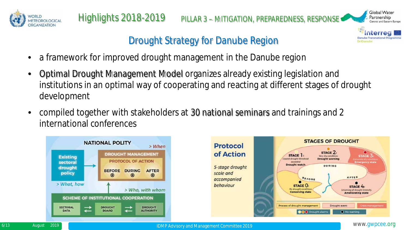



#### Drought Strategy for Danube Region

- a framework for improved drought management in the Danube region
- Optimal Drought Management Model organizes already existing legislation and institutions in an optimal way of cooperating and reacting at different stages of drought development
- compiled together with stakeholders at 30 national seminars and trainings and 2 international conferences



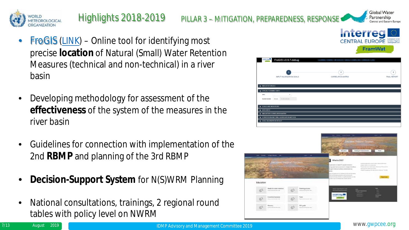

# Highlights 2018-2019 PILLAR 3 – MITIGATION, PREPAREDNESS, RESPONSE

- **FroGIS ([LINK](http://retencjawod.sggw.pl/))** Online tool for identifying most precise **location** of Natural (Small) Water Retention Measures (technical and non-technical) in a river basin
- Developing methodology for assessment of the **effectiveness** of the system of the measures in the river basin
- Guidelines for connection with implementation of the 2nd **RBMP** and planning of the 3rd RBMP
- **Decision-Support System** for N(S)WRM Planning
- National consultations, trainings, 2 regional round tables with policy level on NWRM





Global Water Partnership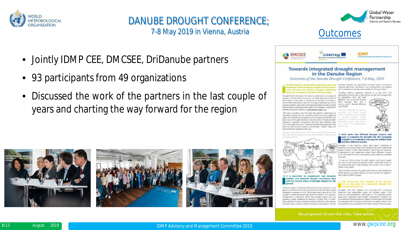

#### DANUBE DROUGHT CONFERENCE; 7-8 May 2019 in Vienna, Austria

- Jointly IDMP CEE, DMCSEE, DriDanube partners
- 93 participants from 49 organizations
- Discussed the work of the partners in the last couple of years and charting the way forward for the region











Be prepared. Know the risks. Take action.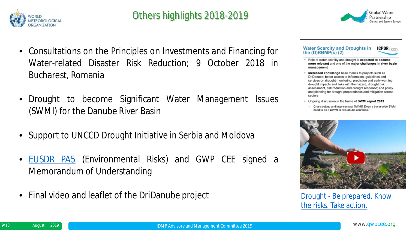



#### **Water Scarcity and Droughts in ICPDR** IKSD the  $(D)RBMP(s)$   $(2)$

- . Role of water scarcity and drought is expected to become more relevant and one of the major challenges in river basin management
- Increased knowledge base thanks to projects such as DriDanube: better access to information, quidelines and services on drought monitoring, prediction and early warning; drought impacts and links with the hazard; drought risk assessment, risk reduction and drought response; and policy and planning for drought preparedness and mitigation across sectors
- Ongoing discussion in the frame of SWMI report 2019
	- Cross-cutting and inter-sectoral SWMI? Does a basin-wide SWMI need to be a SWMI in all Danube countries?



[the risks. Take action.](https://www.youtube.com/watch?v=ASYMEKEeVN0&t=7s)

- Consultations on the Principles on Investments and Financing for Water-related Disaster Risk Reduction; 9 October 2018 in Bucharest, Romania
- Drought to become Significant Water Management Issues (SWMI) for the Danube River Basin
- Support to UNCCD Drought Initiative in Serbia and Moldova
- [EUSDR](https://www.danubeenvironmentalrisks.eu/) [PA5](https://www.danubeenvironmentalrisks.eu/) (Environmental Risks) and GWP CEE signed a Memorandum of Understanding
- Final video and leaflet of the DriDanube project [Drought -](https://www.youtube.com/watch?v=ASYMEKEeVN0&t=7s) Be prepared. Know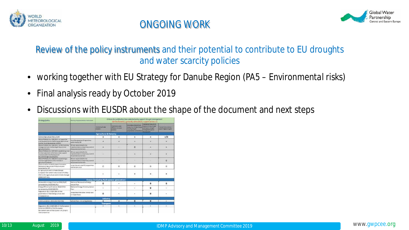



#### Review of the policy instruments and their potential to contribute to EU droughts and water scarcity policies

- working together with EU Strategy for Danube Region (*PA5 – Environmental risks*)
- Final analysis ready by October 2019
- Discussions with EUSDR about the shape of the document and next steps

| Strategy/policy                                                                                                                                                                                                                                                                                                                                                                                                                  | <b>Branfing Impropriate trailers (surriculated)</b>                                                     | Orbinio for just fleet on how wiested policy support drought management<br>not moreoveral) (i. generally adversed (O), suspect actions (v) |                                                                                          |                                                                                                                                     |                                                                                                                                           |                                                        |
|----------------------------------------------------------------------------------------------------------------------------------------------------------------------------------------------------------------------------------------------------------------------------------------------------------------------------------------------------------------------------------------------------------------------------------|---------------------------------------------------------------------------------------------------------|--------------------------------------------------------------------------------------------------------------------------------------------|------------------------------------------------------------------------------------------|-------------------------------------------------------------------------------------------------------------------------------------|-------------------------------------------------------------------------------------------------------------------------------------------|--------------------------------------------------------|
|                                                                                                                                                                                                                                                                                                                                                                                                                                  |                                                                                                         | <b>Interdence State</b><br><b>AVAILABLE</b>                                                                                                | <b>Highlight Ad Int Angler</b><br><b>Philadelphia &amp; Allegand</b><br><b>Alliances</b> | <b>INSURES STELLED REPAIR</b><br>Holarchun Dinasin Charger<br><b>HALATIN RALINE</b><br><b><i><u>PALD BOTHS CITY BETWEEN</u></i></b> | <b>CHINESE ROLL NO. 25</b><br><b><i><u>AMARINTHING</u></i></b><br>and beginning program<br><b>Hanapenent wie be</b><br><b>MARINE TOWE</b> | <b>Thermal Polymerakility</b><br><b>WEAPONE SEASON</b> |
|                                                                                                                                                                                                                                                                                                                                                                                                                                  |                                                                                                         | <b>Agriculture &amp; Forestry</b>                                                                                                          |                                                                                          |                                                                                                                                     |                                                                                                                                           |                                                        |
| Conversion Agencultural Policia (CAP)                                                                                                                                                                                                                                                                                                                                                                                            |                                                                                                         |                                                                                                                                            | ٠                                                                                        | ۰                                                                                                                                   | ۰                                                                                                                                         | $+10$                                                  |
| TESULATION (0.0 Wa 1208/2013 an support for<br>tural Anadesmant to the European Agricultural<br>Funktion Bunet Development (EARED)<br>REGULATIONS/SUITING ESON/2003 AN VIVENISHING<br>management and montailing of the carenoal<br>egricultural pelasi<br>RESULITION (DJ) No (207/2013 amskliching rules)<br>for closed passmares to farmark under support-<br>tchemes with echa themewhile of<br>the common agricultural policy | <b>Rural Development Fragteminas</b><br>sartsment to MC                                                 |                                                                                                                                            | ٠                                                                                        |                                                                                                                                     |                                                                                                                                           |                                                        |
|                                                                                                                                                                                                                                                                                                                                                                                                                                  | <b>ISD are responsible for the</b><br>Implementation and printers covered<br>of payments to farmers.    |                                                                                                                                            | $\sim$                                                                                   | ö                                                                                                                                   |                                                                                                                                           |                                                        |
|                                                                                                                                                                                                                                                                                                                                                                                                                                  | lift are responsible for the<br>implantantesion and primals member<br>of payments to be made            |                                                                                                                                            | 024                                                                                      |                                                                                                                                     |                                                                                                                                           |                                                        |
| RESILITON BU W LTG/2013 AWARRINGER<br>commentarias presentant of the interleate in-<br>ogitalnesi produzta                                                                                                                                                                                                                                                                                                                       | <b>BBI Are leasers to the forth</b><br>impliantentellian and primary carettel<br>of payments to farming | -                                                                                                                                          |                                                                                          | ٠                                                                                                                                   | ٠                                                                                                                                         | $\alpha$                                               |
| Communication on the furniseer trauvener-<br>Fartnership Apricutions Frishattimis-and<br>Buickermadeling - NP                                                                                                                                                                                                                                                                                                                    | smokratical CB salary/farmed the spin<br>AND HERSH JOUL                                                 | $\alpha$                                                                                                                                   | o                                                                                        | $\alpha$                                                                                                                            | o                                                                                                                                         | $\Omega$                                               |
| to aerouture and climate thange<br>turopean Far Jamest resolution of 5 May<br>2013 no Ed approximate and climate change.<br>(2005/2157 (Hz))                                                                                                                                                                                                                                                                                     |                                                                                                         |                                                                                                                                            | ٠                                                                                        |                                                                                                                                     |                                                                                                                                           |                                                        |
|                                                                                                                                                                                                                                                                                                                                                                                                                                  |                                                                                                         |                                                                                                                                            | <b>Energy Decluding Hydropower generation)</b>                                           |                                                                                                                                     |                                                                                                                                           |                                                        |
| Berwyshie wiegy itrective 2006/26/87<br>(amended by 2018/2001/IIL)                                                                                                                                                                                                                                                                                                                                                               | <b>Batter al Senecable Energy</b><br>Action Plan                                                        | o                                                                                                                                          | ٠                                                                                        | ٠                                                                                                                                   | ۰                                                                                                                                         | $\alpha$                                               |
| Energy Efficiency Directive 3013/27/10<br>jamended by 2018/2002/20.                                                                                                                                                                                                                                                                                                                                                              | National Every Eliziency Azion<br>Finn.                                                                 | ı                                                                                                                                          | ×                                                                                        | ×.                                                                                                                                  | ۰                                                                                                                                         | ×.                                                     |
| Reputation (b), hitar (1999 on the<br>povernance of the Energy Lincol and<br><b>Clintane Artish</b>                                                                                                                                                                                                                                                                                                                              | integrated Nistighai Energy and<br>Climate Plant                                                        | $\alpha$                                                                                                                                   | ٠                                                                                        | ٠                                                                                                                                   | ۰                                                                                                                                         |                                                        |
|                                                                                                                                                                                                                                                                                                                                                                                                                                  |                                                                                                         | industry                                                                                                                                   |                                                                                          |                                                                                                                                     |                                                                                                                                           |                                                        |
| Constructable (2015) 611 from the                                                                                                                                                                                                                                                                                                                                                                                                | Action/Plan (initialing Annie)                                                                          | ۰                                                                                                                                          | ٠                                                                                        | $\alpha$                                                                                                                            | ø                                                                                                                                         | ٠                                                      |
|                                                                                                                                                                                                                                                                                                                                                                                                                                  |                                                                                                         | Transport                                                                                                                                  |                                                                                          |                                                                                                                                     |                                                                                                                                           |                                                        |
| Regulation (BJ): 3016/1628 of the Burgeram<br>Directive 2005/30 of the European<br>Farnament and of the Council of 21 April<br>DOM ANAHALINE                                                                                                                                                                                                                                                                                     |                                                                                                         | ۰                                                                                                                                          | ٠                                                                                        |                                                                                                                                     | ٠                                                                                                                                         | ٠                                                      |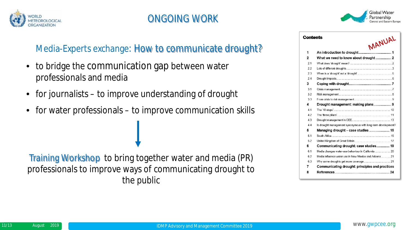



| Contents | MANUAL                                                       |  |
|----------|--------------------------------------------------------------|--|
| 1        |                                                              |  |
| 2        |                                                              |  |
| 2.1      |                                                              |  |
| 22       |                                                              |  |
| 23       |                                                              |  |
| 24       |                                                              |  |
| 3        |                                                              |  |
| 31       |                                                              |  |
| 3.2      |                                                              |  |
| 33       |                                                              |  |
| 4        |                                                              |  |
| 41       |                                                              |  |
| 42       |                                                              |  |
| 4.3      |                                                              |  |
| 44       | Is drought management synonymous with long-term development? |  |
| 5        | Managing drought - case studies  15                          |  |
| 51       | South Africa 2008 2014 15                                    |  |
| 52       |                                                              |  |
| 6        | Communicating drought: case studies 19                       |  |
| 6.1      |                                                              |  |
| 62       | Media influence water use in New Mexico and Arizona  21      |  |
| 63       |                                                              |  |
| 7        | Communicating drought: principles and practices              |  |
| 8        |                                                              |  |

#### Media-Experts exchange: How to communicate drought?

- to bridge the communication gap between water professionals and media
- for journalists to improve understanding of drought
- for water professionals to improve communication skills

Training Workshop to bring together water and media (PR) professionals to improve ways of communicating drought to the public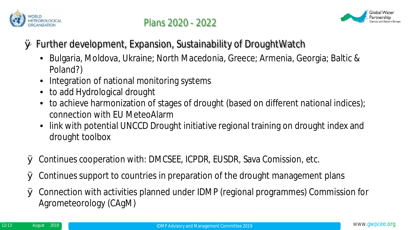



# Ø Further development, Expansion, Sustainability of DroughtWatch

- Bulgaria, Moldova, Ukraine; North Macedonia, Greece; Armenia, Georgia; Baltic & Poland?)
- Integration of national monitoring systems
- to add Hydrological drought
- to achieve harmonization of stages of drought (based on different national indices); connection with EU MeteoAlarm
- link with potential UNCCD Drought initiative regional training on drought index and drought toolbox
- Ø Continues cooperation with: DMCSEE, ICPDR, EUSDR, Sava Comission, etc.
- Ø Continues support to countries in preparation of the drought management plans
- Ø Connection with activities planned under IDMP (regional programmes) Commission for Agrometeorology (CAgM)